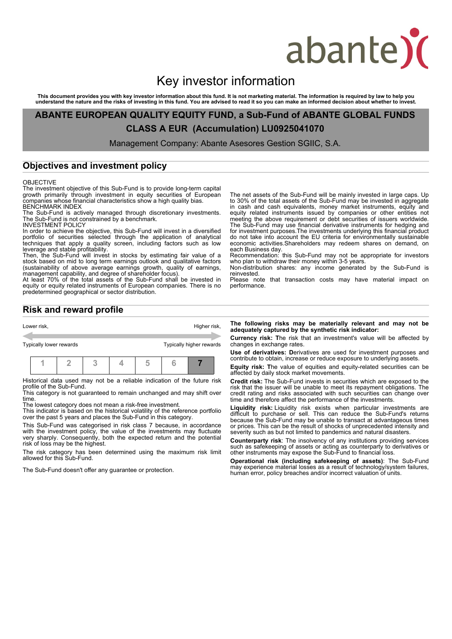# abante)

# Key investor information

This document provides you with key investor information about this fund. It is not marketing material. The information is required by law to help you<br>understand the nature and the risks of investing in this fund. You are

**ABANTE EUROPEAN QUALITY EQUITY FUND, a Sub-Fund of ABANTE GLOBAL FUNDS CLASS A EUR (Accumulation) LU0925041070**

Management Company: Abante Asesores Gestion SGIIC, S.A.

### **Objectives and investment policy**

#### OBJECTIVE

The investment objective of this Sub-Fund is to provide long-term capital growth primarily through investment in equity securities of European companies whose financial characteristics show a high quality bias. BENCHMARK INDEX

The Sub-Fund is actively managed through discretionary investments. The Sub-Fund is not constrained by a benchmark.

INVESTMENT POLICY In order to achieve the objective, this Sub-Fund will invest in a diversified portfolio of securities selected through the application of analytical techniques that apply a quality screen, including factors such as low leverage and stable profitability.

Then, the Sub-Fund will invest in stocks by estimating fair value of a stock based on mid to long term earnings outlook and qualitative factors (sustainability of above average earnings growth, quality of earnings, management capability, and degree of shareholder focus).

At least 70% of the total assets of the Sub-Fund shall be invested in equity or equity related instruments of European companies. There is no predetermined geographical or sector distribution.

The net assets of the Sub-Fund will be mainly invested in large caps. Up to 30% of the total assets of the Sub-Fund may be invested in aggregate in cash and cash equivalents, money market instruments, equity and equity related instruments issued by companies or other entities not meeting the above requirement or debt securities of issuers worldwide. The Sub-Fund may use financial derivative instruments for hedging and for investment purposes.The investments underlying this financial product do not take into account the EU criteria for environmentally sustainable economic activities.Shareholders may redeem shares on demand, on each Business day.

Recommendation: this Sub-Fund may not be appropriate for investors who plan to withdraw their money within 3-5 years.

Non-distribution shares: any income generated by the Sub-Fund is reinvested.

Please note that transaction costs may have material impact on performance.

## **Risk and reward profile**

| Lower risk, |                         |  |  |  |  | Higher risk, |                          |  |  |
|-------------|-------------------------|--|--|--|--|--------------|--------------------------|--|--|
|             | Typically lower rewards |  |  |  |  |              | Typically higher rewards |  |  |
|             |                         |  |  |  |  |              |                          |  |  |

Historical data used may not be a reliable indication of the future risk profile of the Sub-Fund.

This category is not guaranteed to remain unchanged and may shift over time.

The lowest category does not mean a risk-free investment.

This indicator is based on the historical volatility of the reference portfolio over the past 5 years and places the Sub-Fund in this category.

This Sub-Fund was categorised in risk class 7 because, in accordance with the investment policy, the value of the investments may fluctuate very sharply. Consequently, both the expected return and the potential risk of loss may be the highest.

The risk category has been determined using the maximum risk limit allowed for this Sub-Fund.

The Sub-Fund doesn't offer any guarantee or protection.

**The following risks may be materially relevant and may not be adequately captured by the synthetic risk indicator:**

**Currency risk: T**he risk that an investment's value will be affected by changes in exchange rates.

**Use of derivatives: D**erivatives are used for investment purposes and contribute to obtain, increase or reduce exposure to underlying assets.

**Equity risk: T**he value of equities and equity-related securities can be affected by daily stock market movements.

**Credit risk:** The Sub-Fund invests in securities which are exposed to the risk that the issuer will be unable to meet its repayment obligations. The credit rating and risks associated with such securities can change over time and therefore affect the performance of the investments.

**Liquidity risk:** Liquidity risk exists when particular investments are difficult to purchase or sell. This can reduce the Sub-Fund's returns because the Sub-Fund may be unable to transact at advantageous times or prices. This can be the result of shocks of unprecedented intensity and severity such as but not limited to pandemics and natural disasters.

**Counterparty risk**: The insolvency of any institutions providing services such as safekeeping of assets or acting as counterparty to derivatives or other instruments may expose the Sub-Fund to financial loss.

**Operational risk (including safekeeping of assets)**: The Sub-Fund may experience material losses as a result of technology/system failures, human error, policy breaches and/or incorrect valuation of units.